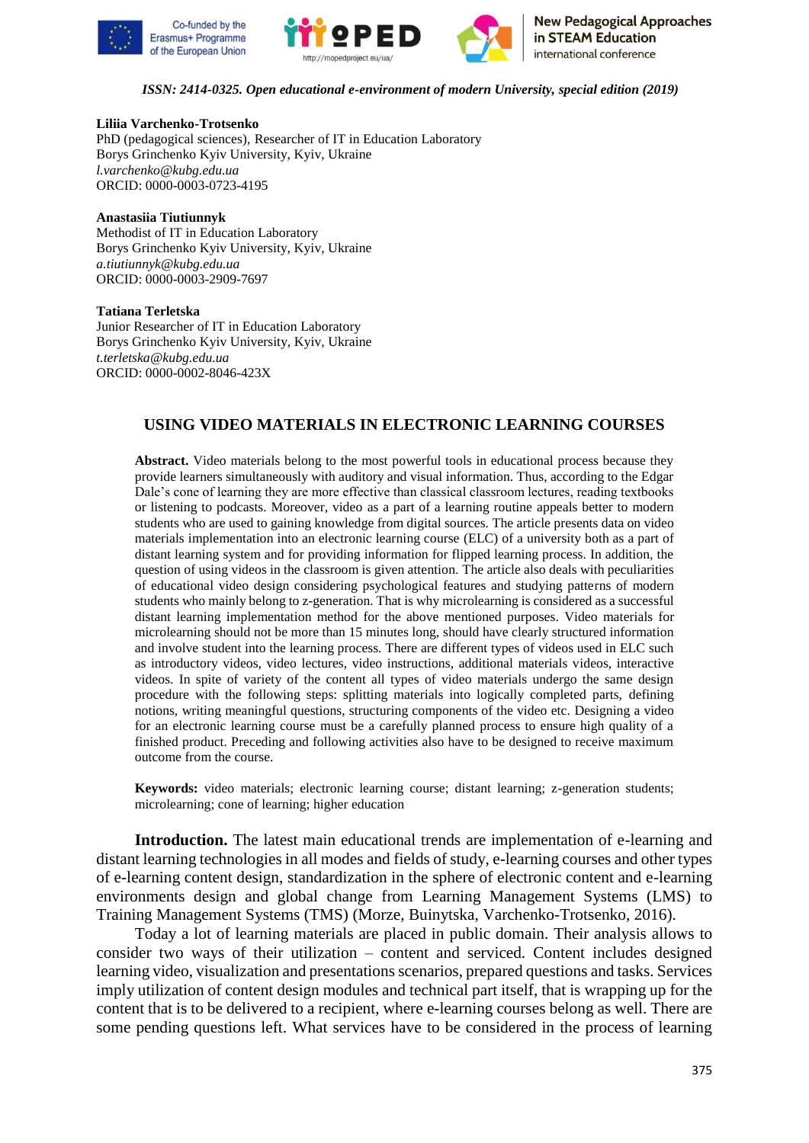





### **Liliia Varchenko-Trotsenko**

PhD (pedagogical sciences), Researcher of IT in Education Laboratory Borys Grinchenko Kyiv University, Kyiv, Ukraine *l.varchenko@kubg.edu.ua*  ORCID: 0000-0003-0723-4195

### **Anastasiia Tiutiunnyk**

Methodist of IT in Education Laboratory Borys Grinchenko Kyiv University, Kyiv, Ukraine *a.tiutiunnyk@kubg.edu.ua*  ORCID: 0000-0003-2909-7697

#### **Tatiana Terletska**

Junior Researcher of IT in Education Laboratory Borys Grinchenko Kyiv University, Kyiv, Ukraine *t.terletska@kubg.edu.ua* ORCID: 0000-0002-8046-423X

### **USING VIDEO MATERIALS IN ELECTRONIC LEARNING COURSES**

**Abstract.** Video materials belong to the most powerful tools in educational process because they provide learners simultaneously with auditory and visual information. Thus, according to the Edgar Dale's cone of learning they are more effective than classical classroom lectures, reading textbooks or listening to podcasts. Moreover, video as a part of a learning routine appeals better to modern students who are used to gaining knowledge from digital sources. The article presents data on video materials implementation into an electronic learning course (ELC) of a university both as a part of distant learning system and for providing information for flipped learning process. In addition, the question of using videos in the classroom is given attention. The article also deals with peculiarities of educational video design considering psychological features and studying patterns of modern students who mainly belong to z-generation. That is why microlearning is considered as a successful distant learning implementation method for the above mentioned purposes. Video materials for microlearning should not be more than 15 minutes long, should have clearly structured information and involve student into the learning process. There are different types of videos used in ELC such as introductory videos, video lectures, video instructions, additional materials videos, interactive videos. In spite of variety of the content all types of video materials undergo the same design procedure with the following steps: splitting materials into logically completed parts, defining notions, writing meaningful questions, structuring components of the video etc. Designing a video for an electronic learning course must be a carefully planned process to ensure high quality of a finished product. Preceding and following activities also have to be designed to receive maximum outcome from the course.

**Keywords:** video materials; electronic learning course; distant learning; z-generation students; microlearning; cone of learning; higher education

**Introduction.** The latest main educational trends are implementation of e-learning and distant learning technologies in all modes and fields of study, e-learning courses and other types of e-learning content design, standardization in the sphere of electronic content and e-learning environments design and global change from Learning Management Systems (LMS) to Training Management Systems (TMS) (Morze, Buinytska, Varchenko-Trotsenko, 2016).

Today a lot of learning materials are placed in public domain. Their analysis allows to consider two ways of their utilization – content and serviced. Content includes designed learning video, visualization and presentations scenarios, prepared questions and tasks. Services imply utilization of content design modules and technical part itself, that is wrapping up for the content that is to be delivered to a recipient, where e-learning courses belong as well. There are some pending questions left. What services have to be considered in the process of learning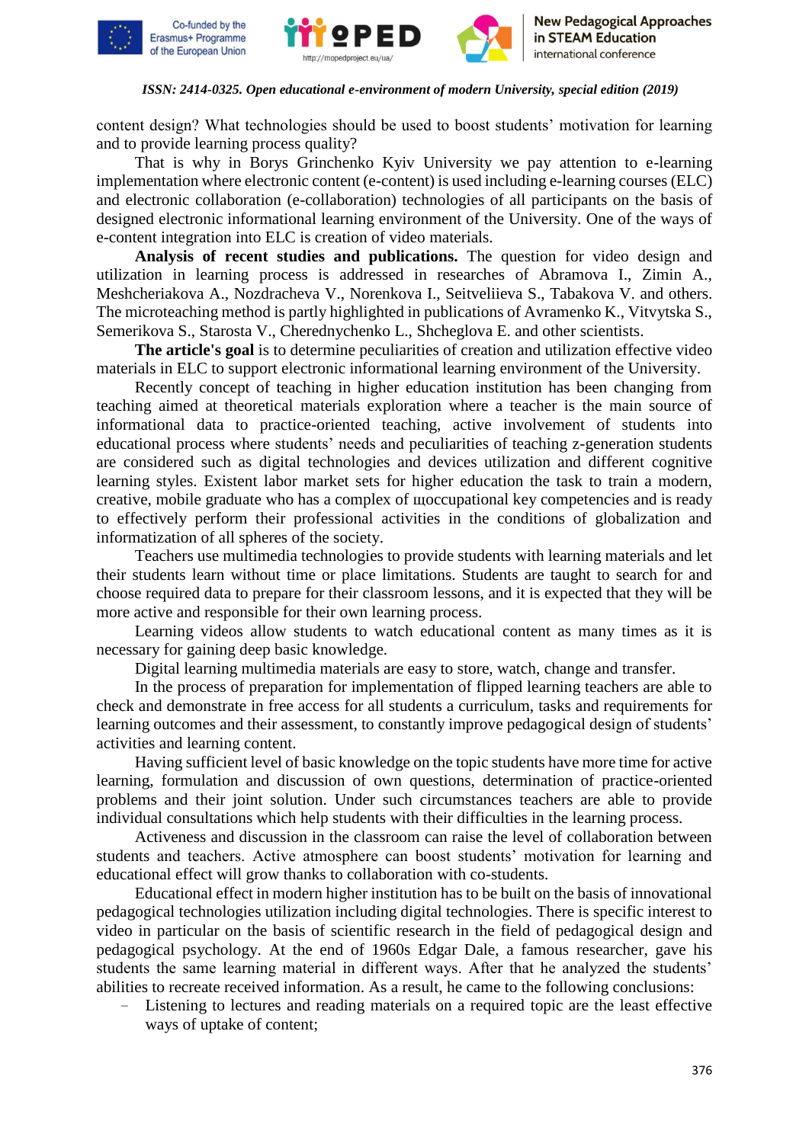





content design? What technologies should be used to boost students' motivation for learning and to provide learning process quality?

That is why in Borys Grinchenko Kyiv University we pay attention to e-learning implementation where electronic content (e-content) is used including e-learning courses (ELC) and electronic collaboration (e-collaboration) technologies of all participants on the basis of designed electronic informational learning environment of the University. One of the ways of e-content integration into ELC is creation of video materials.

**Analysis of recent studies and publications.** The question for video design and utilization in learning process is addressed in researches of Abramova I., Zimin A., Meshcheriakova A., Nozdracheva V., Norenkova I., Seitveliieva S., Tabakova V. and others. The microteaching method is partly highlighted in publications of Avramenko K., Vitvytska S., Semerikova S., Starosta V., Cherednychenko L., Shcheglova E. and other scientists.

**The article's goal** is to determine peculiarities of creation and utilization effective video materials in ELC to support electronic informational learning environment of the University.

Recently concept of teaching in higher education institution has been changing from teaching aimed at theoretical materials exploration where a teacher is the main source of informational data to practice-oriented teaching, active involvement of students into educational process where students' needs and peculiarities of teaching z-generation students are considered such as digital technologies and devices utilization and different cognitive learning styles. Existent labor market sets for higher education the task to train a modern, creative, mobile graduate who has a complex of щoccupational key competencies and is ready to effectively perform their professional activities in the conditions of globalization and informatization of all spheres of the society.

Teachers use multimedia technologies to provide students with learning materials and let their students learn without time or place limitations. Students are taught to search for and choose required data to prepare for their classroom lessons, and it is expected that they will be more active and responsible for their own learning process.

Learning videos allow students to watch educational content as many times as it is necessary for gaining deep basic knowledge.

Digital learning multimedia materials are easy to store, watch, change and transfer.

In the process of preparation for implementation of flipped learning teachers are able to check and demonstrate in free access for all students a curriculum, tasks and requirements for learning outcomes and their assessment, to constantly improve pedagogical design of students' activities and learning content.

Having sufficient level of basic knowledge on the topic students have more time for active learning, formulation and discussion of own questions, determination of practice-oriented problems and their joint solution. Under such circumstances teachers are able to provide individual consultations which help students with their difficulties in the learning process.

Activeness and discussion in the classroom can raise the level of collaboration between students and teachers. Active atmosphere can boost students' motivation for learning and educational effect will grow thanks to collaboration with co-students.

Educational effect in modern higher institution has to be built on the basis of innovational pedagogical technologies utilization including digital technologies. There is specific interest to video in particular on the basis of scientific research in the field of pedagogical design and pedagogical psychology. At the end of 1960s Edgar Dale, a famous researcher, gave his students the same learning material in different ways. After that he analyzed the students' abilities to recreate received information. As a result, he came to the following conclusions:

Listening to lectures and reading materials on a required topic are the least effective ways of uptake of content;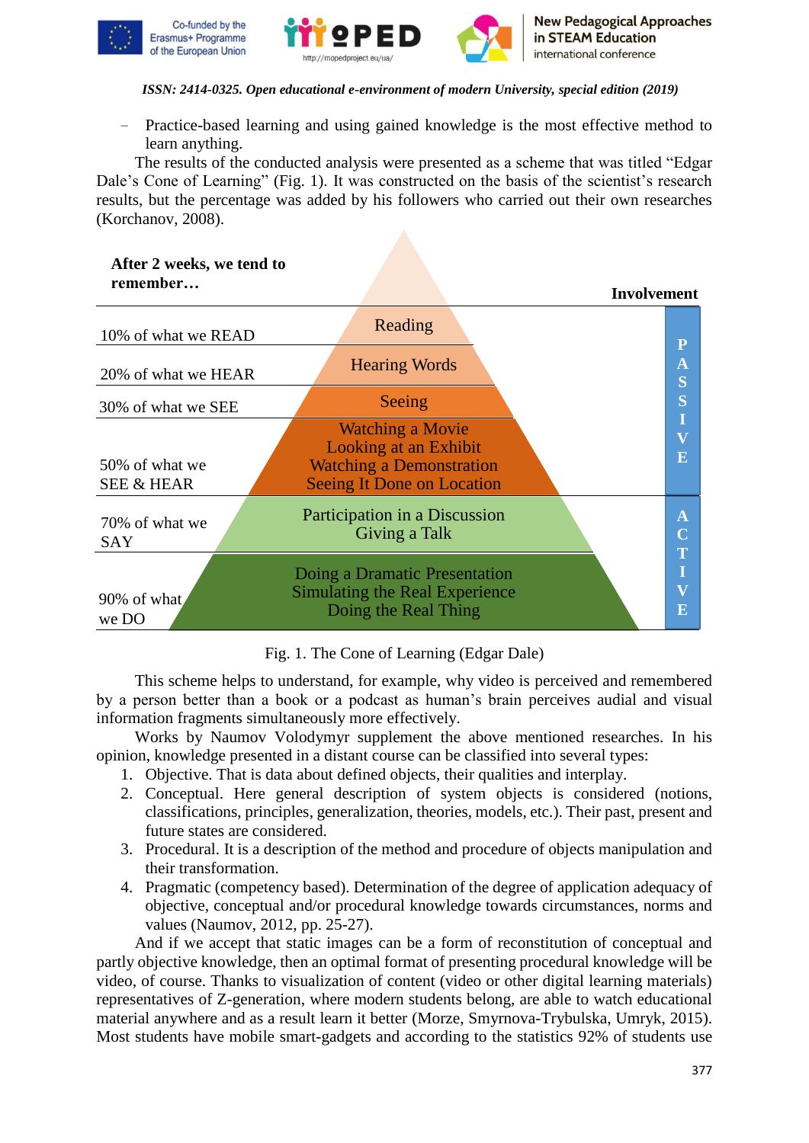





− Practice-based learning and using gained knowledge is the most effective method to learn anything.

The results of the conducted analysis were presented as a scheme that was titled "Edgar Dale's Cone of Learning" (Fig. 1). It was constructed on the basis of the scientist's research results, but the percentage was added by his followers who carried out their own researches (Korchanov, 2008).

## **After 2 weeks, we tend to remember…**



# Fig. 1. The Cone of Learning (Edgar Dale)

This scheme helps to understand, for example, why video is perceived and remembered by a person better than a book or a podcast as human's brain perceives audial and visual information fragments simultaneously more effectively.

Works by Naumov Volodymyr supplement the above mentioned researches. In his opinion, knowledge presented in a distant course can be classified into several types:

- 1. Objective. That is data about defined objects, their qualities and interplay.
- 2. Conceptual. Here general description of system objects is considered (notions, classifications, principles, generalization, theories, models, etc.). Their past, present and future states are considered.
- 3. Procedural. It is a description of the method and procedure of objects manipulation and their transformation.
- 4. Pragmatic (competency based). Determination of the degree of application adequacy of objective, conceptual and/or procedural knowledge towards circumstances, norms and values (Naumov, 2012, pp. 25-27).

And if we accept that static images can be a form of reconstitution of conceptual and partly objective knowledge, then an optimal format of presenting procedural knowledge will be video, of course. Thanks to visualization of content (video or other digital learning materials) representatives of Z-generation, where modern students belong, are able to watch educational material anywhere and as a result learn it better (Morze, Smyrnova-Trybulska, Umryk, 2015). Most students have mobile smart-gadgets and according to the statistics 92% of students use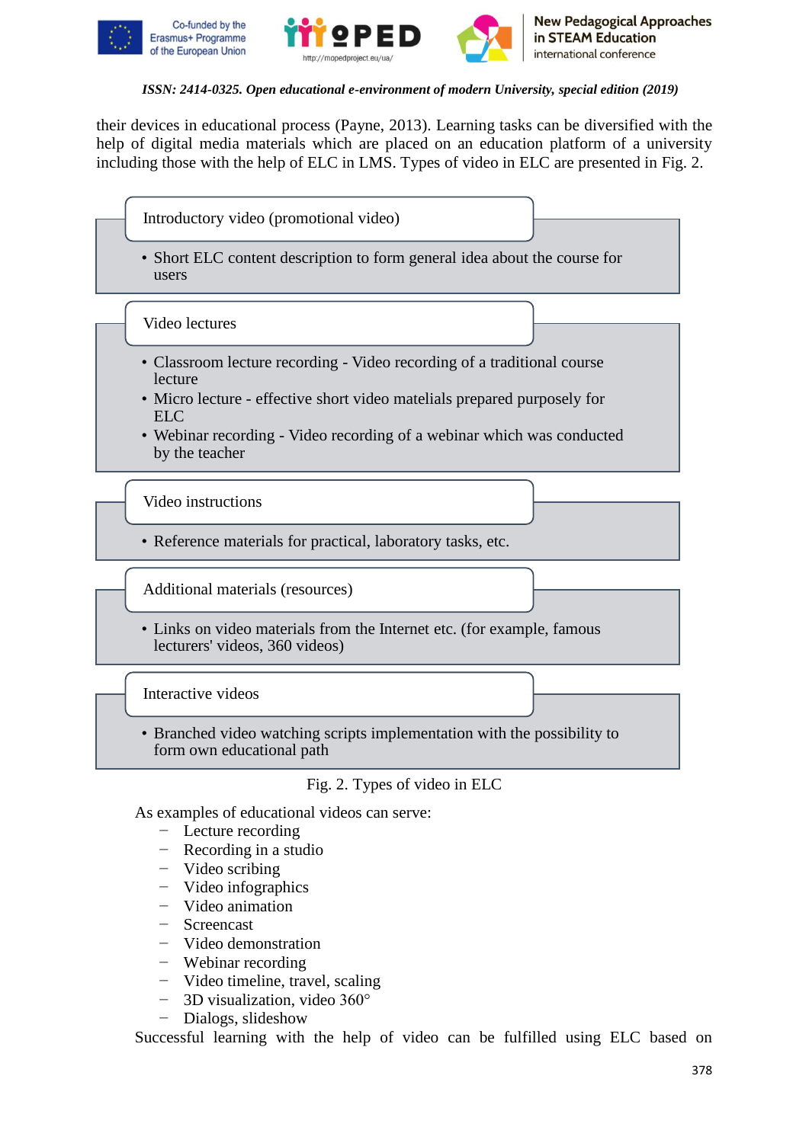



their devices in educational process (Payne, 2013). Learning tasks can be diversified with the help of digital media materials which are placed on an education platform of a university including those with the help of ELC in LMS. Types of video in ELC are presented in Fig. 2.

• Short ELC content description to form general idea about the course for users

Video lectures

- Classroom lecture recording Video recording of a traditional course lecture
- Micro lecture effective short video matelials prepared purposely for ELC
- Webinar recording Video recording of a webinar which was conducted by the teacher

Video instructions

• Reference materials for practical, laboratory tasks, etc.

Additional materials (resources)

• Links on video materials from the Internet etc. (for example, famous lecturers' videos, 360 videos)

Interactive videos

• Branched video watching scripts implementation with the possibility to form own educational path

Fig. 2. Types of video in ELC

As examples of educational videos can serve:

- − Lecture recording
- − Recording in a studio
- − Video scribing
- − Video infographics
- − Video animation
- − Screencast
- − Video demonstration
- − Webinar recording
- − Video timeline, travel, scaling
- − 3D visualization, video 360°
- − Dialogs, slideshow

Successful learning with the help of video can be fulfilled using ELC based on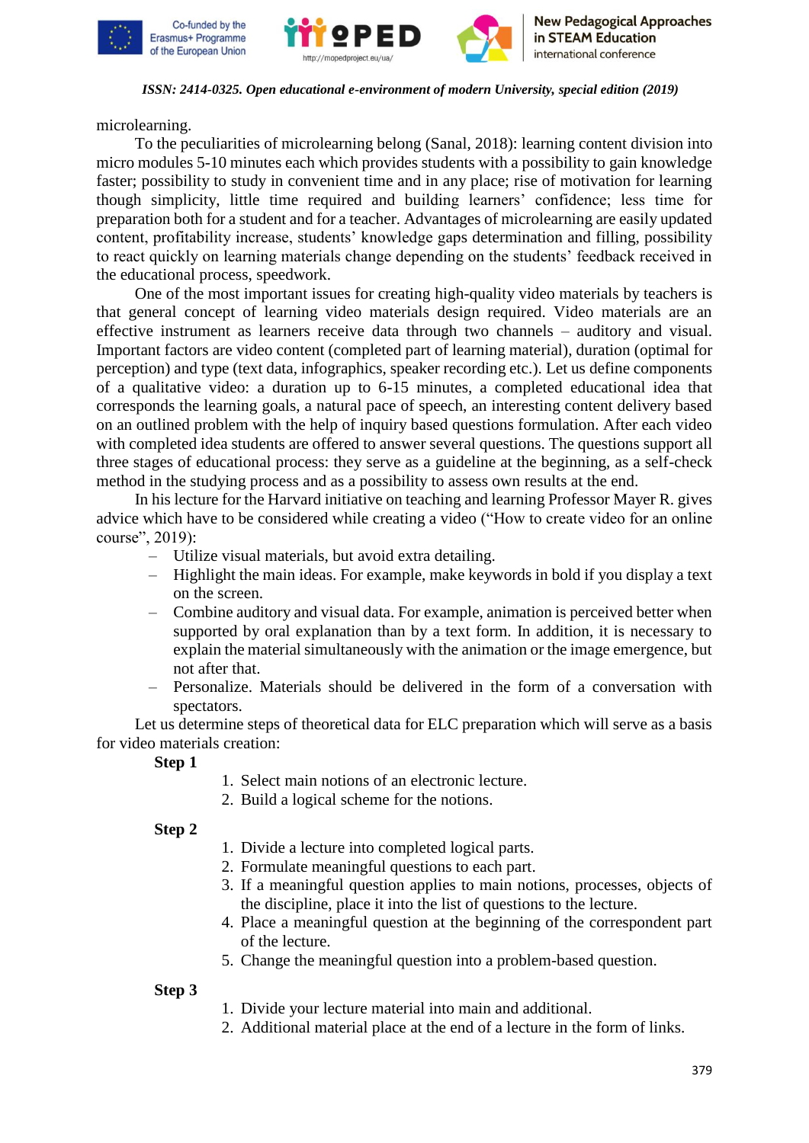





microlearning.

To the peculiarities of microlearning belong (Sanal, 2018): learning content division into micro modules 5-10 minutes each which provides students with a possibility to gain knowledge faster; possibility to study in convenient time and in any place; rise of motivation for learning though simplicity, little time required and building learners' confidence; less time for preparation both for a student and for a teacher. Advantages of microlearning are easily updated content, profitability increase, students' knowledge gaps determination and filling, possibility to react quickly on learning materials change depending on the students' feedback received in the educational process, speedwork.

One of the most important issues for creating high-quality video materials by teachers is that general concept of learning video materials design required. Video materials are an effective instrument as learners receive data through two channels – auditory and visual. Important factors are video content (completed part of learning material), duration (optimal for perception) and type (text data, infographics, speaker recording etc.). Let us define components of a qualitative video: a duration up to 6-15 minutes, a completed educational idea that corresponds the learning goals, a natural pace of speech, an interesting content delivery based on an outlined problem with the help of inquiry based questions formulation. After each video with completed idea students are offered to answer several questions. The questions support all three stages of educational process: they serve as a guideline at the beginning, as a self-check method in the studying process and as a possibility to assess own results at the end.

In his lecture for the Harvard initiative on teaching and learning Professor Mayer R. gives advice which have to be considered while creating a video ("How to create video for an online course", 2019):

- Utilize visual materials, but avoid extra detailing.
- Highlight the main ideas. For example, make keywords in bold if you display a text on the screen.
- Combine auditory and visual data. For example, animation is perceived better when supported by oral explanation than by a text form. In addition, it is necessary to explain the material simultaneously with the animation or the image emergence, but not after that.
- Personalize. Materials should be delivered in the form of a conversation with spectators.

Let us determine steps of theoretical data for ELC preparation which will serve as a basis for video materials creation:

**Step 1**

- 1. Select main notions of an electronic lecture.
- 2. Build a logical scheme for the notions.

# **Step 2**

- 1. Divide a lecture into completed logical parts.
- 2. Formulate meaningful questions to each part.
- 3. If a meaningful question applies to main notions, processes, objects of the discipline, place it into the list of questions to the lecture.
- 4. Place a meaningful question at the beginning of the correspondent part of the lecture.
- 5. Change the meaningful question into a problem-based question.

# **Step 3**

- 1. Divide your lecture material into main and additional.
- 2. Additional material place at the end of a lecture in the form of links.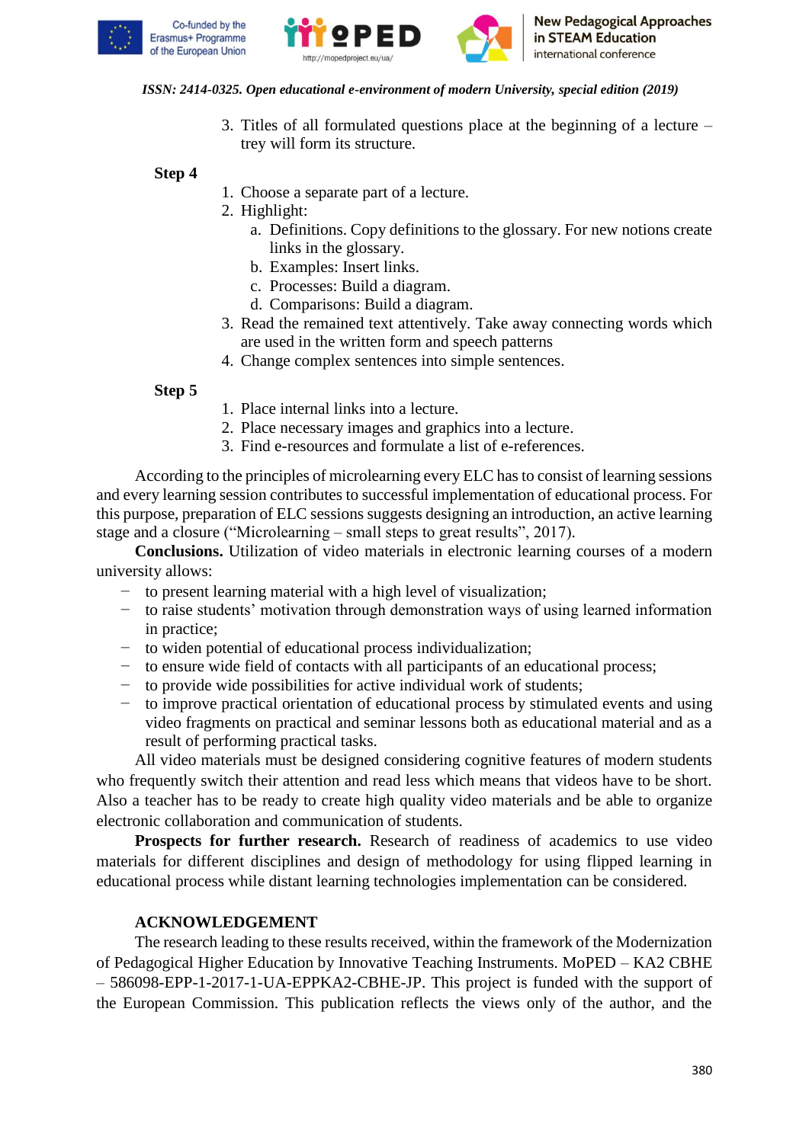





3. Titles of all formulated questions place at the beginning of a lecture – trey will form its structure.

**Step 4**

- 1. Choose a separate part of a lecture.
- 2. Highlight:
	- a. Definitions. Copy definitions to the glossary. For new notions create links in the glossary.
	- b. Examples: Insert links.
	- c. Processes: Build a diagram.
	- d. Comparisons: Build a diagram.
- 3. Read the remained text attentively. Take away connecting words which are used in the written form and speech patterns
- 4. Change complex sentences into simple sentences.

## **Step 5**

- 1. Place internal links into a lecture.
- 2. Place necessary images and graphics into a lecture.
- 3. Find e-resources and formulate a list of e-references.

According to the principles of microlearning every ELC has to consist of learning sessions and every learning session contributes to successful implementation of educational process. For this purpose, preparation of ELC sessions suggests designing an introduction, an active learning stage and a closure ("Microlearning – small steps to great results", 2017).

**Conclusions.** Utilization of video materials in electronic learning courses of a modern university allows:

- − to present learning material with a high level of visualization;
- − to raise students' motivation through demonstration ways of using learned information in practice;
- − to widen potential of educational process individualization;
- − to ensure wide field of contacts with all participants of an educational process;
- − to provide wide possibilities for active individual work of students;
- − to improve practical orientation of educational process by stimulated events and using video fragments on practical and seminar lessons both as educational material and as a result of performing practical tasks.

All video materials must be designed considering cognitive features of modern students who frequently switch their attention and read less which means that videos have to be short. Also a teacher has to be ready to create high quality video materials and be able to organize electronic collaboration and communication of students.

**Prospects for further research.** Research of readiness of academics to use video materials for different disciplines and design of methodology for using flipped learning in educational process while distant learning technologies implementation can be considered.

# **ACKNOWLEDGEMENT**

The research leading to these results received, within the framework of the Modernization of Pedagogical Higher Education by Innovative Teaching Instruments. MoPED – KA2 CBHE – 586098-EPP-1-2017-1-UA-EPPKA2-CBHE-JP. This project is funded with the support of the European Commission. This publication reflects the views only of the author, and the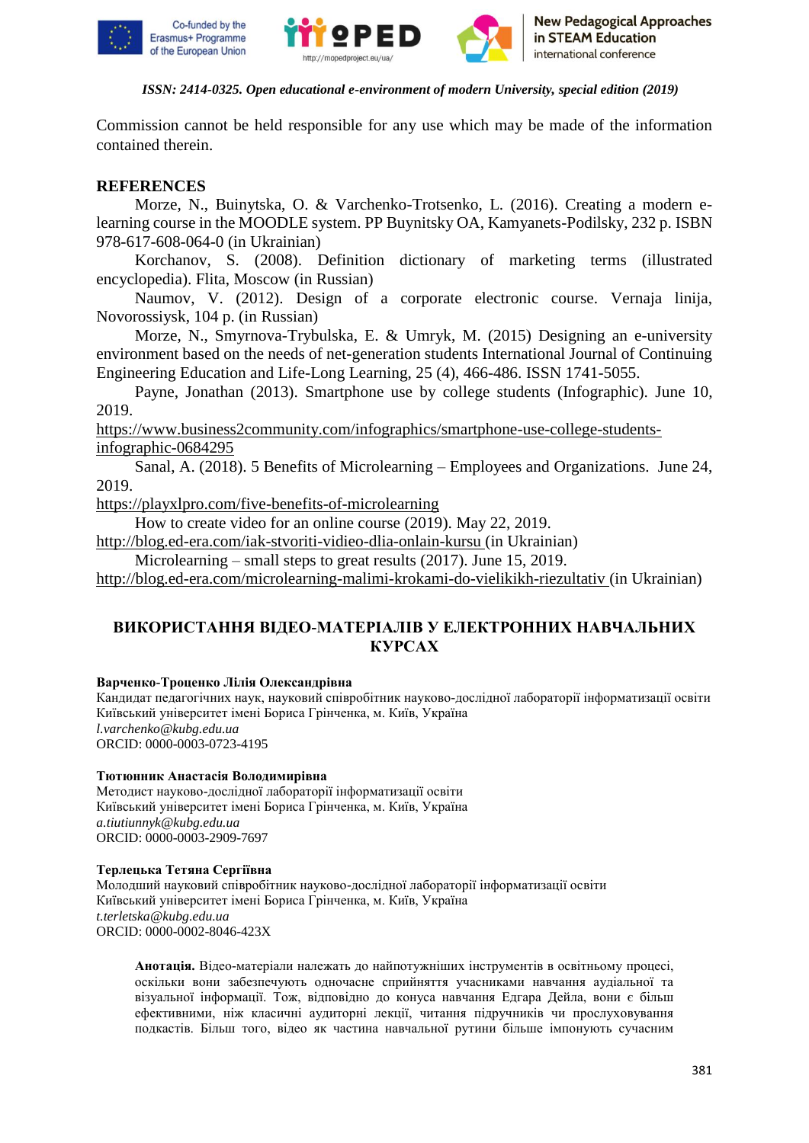





Commission cannot be held responsible for any use which may be made of the information contained therein.

# **REFERENCES**

Morze, N., Buinytska, O. & Varchenko-Trotsenko, L. (2016). Creating a modern elearning course in the MOODLE system. PP Buynitsky OA, Kamyanets-Podilsky, 232 p. ISBN 978-617-608-064-0 (in Ukrainian)

Korchanov, S. (2008). Definition dictionary of marketing terms (illustrated encyclopedia). Flita, Moscow (in Russian)

Naumov, V. (2012). Design of a corporate electronic course. Vernaja linija, Novorossiysk, 104 p. (in Russian)

Morze, N., Smyrnova-Trybulska, E. & Umryk, M. (2015) Designing an e-university environment based on the needs of net-generation students International Journal of Continuing Engineering Education and Life-Long Learning, 25 (4), 466-486. ISSN 1741-5055.

Payne, Jonathan (2013). Smartphone use by college students (Infographic). June 10, 2019.

[https://www.business2community.com/infographics/smartphone-use-college-students](https://www.business2community.com/infographics/smartphone-use-college-students-infographic-0684295)[infographic-0684295](https://www.business2community.com/infographics/smartphone-use-college-students-infographic-0684295)

Sanal, A. (2018). 5 Benefits of Microlearning – Employees and Organizations. June 24, 2019.

<https://playxlpro.com/five-benefits-of-microlearning>

How to create video for an online course (2019). May 22, 2019.

<http://blog.ed-era.com/iak-stvoriti-vidieo-dlia-onlain-kursu> (in Ukrainian)

Microlearning – small steps to great results (2017). June 15, 2019.

<http://blog.ed-era.com/microlearning-malimi-krokami-do-vielikikh-riezultativ> (in Ukrainian)

# **ВИКОРИСТАННЯ ВІДЕО-МАТЕРІАЛІВ У ЕЛЕКТРОННИХ НАВЧАЛЬНИХ КУРСАХ**

### **Варченко-Троценко Лілія Олександрівна**

Кандидат педагогічних наук, науковий співробітник науково-дослідної лабораторії інформатизації освіти Київський університет імені Бориса Грінченка, м. Київ, Україна *l.varchenko@kubg.edu.ua*  ORCID: 0000-0003-0723-4195

### **Тютюнник Анастасія Володимирівна**

Методист науково-дослідної лабораторії інформатизації освіти Київський університет імені Бориса Грінченка, м. Київ, Україна *a.tiutiunnyk@kubg.edu.ua* ORCID: 0000-0003-2909-7697

### **Терлецька Тетяна Сергіївна**

Молодший науковий співробітник науково-дослідної лабораторії інформатизації освіти Київський університет імені Бориса Грінченка, м. Київ, Україна *t.terletska@kubg.edu.ua* ORCID: 0000-0002-8046-423X

**Анотація.** Відео-матеріали належать до найпотужніших інструментів в освітньому процесі, оскільки вони забезпечують одночасне сприйняття учасниками навчання аудіальної та візуальної інформації. Тож, відповідно до конуса навчання Едгара Дейла, вони є більш ефективними, ніж класичні аудиторні лекції, читання підручників чи прослуховування подкастів. Більш того, відео як частина навчальної рутини більше імпонують сучасним